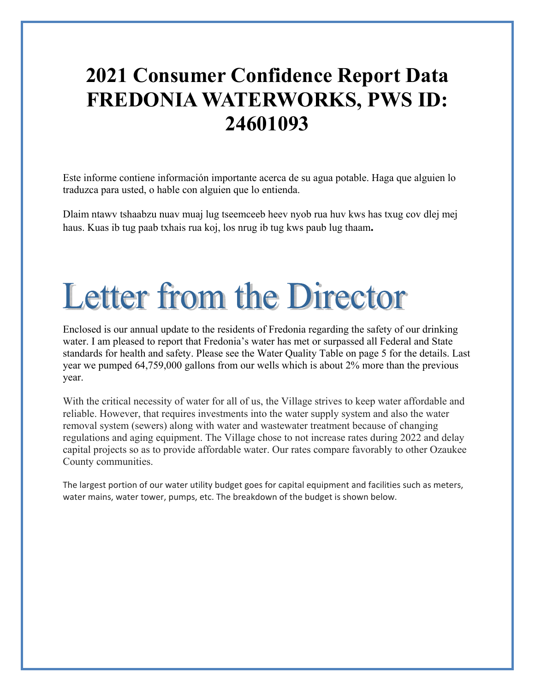## **2021 Consumer Confidence Report Data FREDONIA WATERWORKS, PWS ID: 24601093**

Este informe contiene información importante acerca de su agua potable. Haga que alguien lo traduzca para usted, o hable con alguien que lo entienda.

Dlaim ntawv tshaabzu nuav muaj lug tseemceeb heev nyob rua huv kws has txug cov dlej mej haus. Kuas ib tug paab txhais rua koj, los nrug ib tug kws paub lug thaam**.** 

# **Letter from the Director**

Enclosed is our annual update to the residents of Fredonia regarding the safety of our drinking water. I am pleased to report that Fredonia's water has met or surpassed all Federal and State standards for health and safety. Please see the Water Quality Table on page 5 for the details. Last year we pumped 64,759,000 gallons from our wells which is about 2% more than the previous year.

With the critical necessity of water for all of us, the Village strives to keep water affordable and reliable. However, that requires investments into the water supply system and also the water removal system (sewers) along with water and wastewater treatment because of changing regulations and aging equipment. The Village chose to not increase rates during 2022 and delay capital projects so as to provide affordable water. Our rates compare favorably to other Ozaukee County communities.

The largest portion of our water utility budget goes for capital equipment and facilities such as meters, water mains, water tower, pumps, etc. The breakdown of the budget is shown below.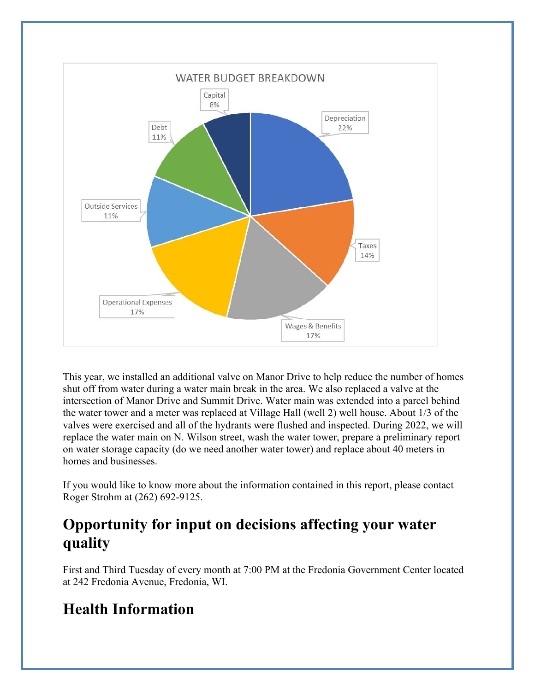

This year, we installed an additional valve on Manor Drive to help reduce the number of homes shut off from water during a water main break in the area. We also replaced a valve at the intersection of Manor Drive and Summit Drive. Water main was extended into a parcel behind the water tower and a meter was replaced at Village Hall (well 2) well house. About 1/3 of the valves were exercised and all of the hydrants were flushed and inspected. During 2022, we will replace the water main on N. Wilson street, wash the water tower, prepare a preliminary report on water storage capacity (do we need another water tower) and replace about 40 meters in homes and businesses.

If you would like to know more about the information contained in this report, please contact Roger Strohm at (262) 692-9125.

## **Opportunity for input on decisions affecting your water quality**

First and Third Tuesday of every month at 7:00 PM at the Fredonia Government Center located at 242 Fredonia Avenue, Fredonia, WI.

## **Health Information**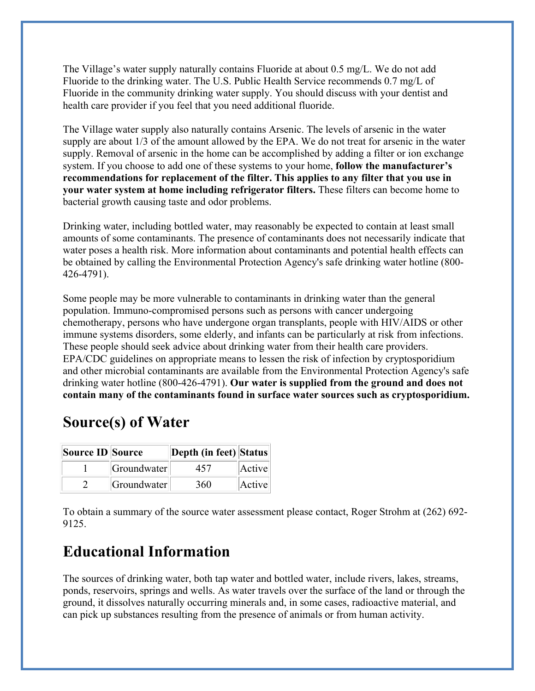The Village's water supply naturally contains Fluoride at about 0.5 mg/L. We do not add Fluoride to the drinking water. The U.S. Public Health Service recommends 0.7 mg/L of Fluoride in the community drinking water supply. You should discuss with your dentist and health care provider if you feel that you need additional fluoride.

The Village water supply also naturally contains Arsenic. The levels of arsenic in the water supply are about 1/3 of the amount allowed by the EPA. We do not treat for arsenic in the water supply. Removal of arsenic in the home can be accomplished by adding a filter or ion exchange system. If you choose to add one of these systems to your home, **follow the manufacturer's recommendations for replacement of the filter. This applies to any filter that you use in your water system at home including refrigerator filters.** These filters can become home to bacterial growth causing taste and odor problems.

Drinking water, including bottled water, may reasonably be expected to contain at least small amounts of some contaminants. The presence of contaminants does not necessarily indicate that water poses a health risk. More information about contaminants and potential health effects can be obtained by calling the Environmental Protection Agency's safe drinking water hotline (800- 426-4791).

Some people may be more vulnerable to contaminants in drinking water than the general population. Immuno-compromised persons such as persons with cancer undergoing chemotherapy, persons who have undergone organ transplants, people with HIV/AIDS or other immune systems disorders, some elderly, and infants can be particularly at risk from infections. These people should seek advice about drinking water from their health care providers. EPA/CDC guidelines on appropriate means to lessen the risk of infection by cryptosporidium and other microbial contaminants are available from the Environmental Protection Agency's safe drinking water hotline (800-426-4791). **Our water is supplied from the ground and does not contain many of the contaminants found in surface water sources such as cryptosporidium.**

## **Source(s) of Water**

| Source ID Source |             | Depth (in feet) Status |        |
|------------------|-------------|------------------------|--------|
|                  | Groundwater | 457                    | Active |
|                  | Groundwater | 360                    | Active |

To obtain a summary of the source water assessment please contact, Roger Strohm at (262) 692- 9125.

## **Educational Information**

The sources of drinking water, both tap water and bottled water, include rivers, lakes, streams, ponds, reservoirs, springs and wells. As water travels over the surface of the land or through the ground, it dissolves naturally occurring minerals and, in some cases, radioactive material, and can pick up substances resulting from the presence of animals or from human activity.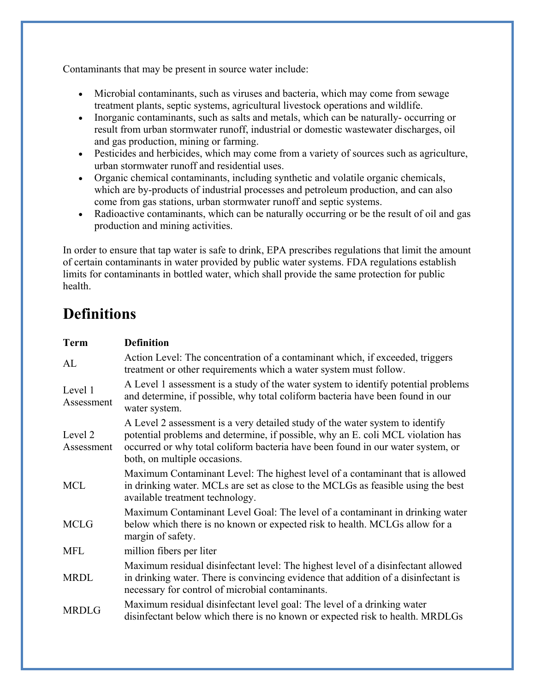Contaminants that may be present in source water include:

- Microbial contaminants, such as viruses and bacteria, which may come from sewage treatment plants, septic systems, agricultural livestock operations and wildlife.
- Inorganic contaminants, such as salts and metals, which can be naturally- occurring or result from urban stormwater runoff, industrial or domestic wastewater discharges, oil and gas production, mining or farming.
- Pesticides and herbicides, which may come from a variety of sources such as agriculture, urban stormwater runoff and residential uses.
- Organic chemical contaminants, including synthetic and volatile organic chemicals, which are by-products of industrial processes and petroleum production, and can also come from gas stations, urban stormwater runoff and septic systems.
- Radioactive contaminants, which can be naturally occurring or be the result of oil and gas production and mining activities.

In order to ensure that tap water is safe to drink, EPA prescribes regulations that limit the amount of certain contaminants in water provided by public water systems. FDA regulations establish limits for contaminants in bottled water, which shall provide the same protection for public health.

## **Definitions**

| <b>Term</b>           | <b>Definition</b>                                                                                                                                                                                                                                                                   |
|-----------------------|-------------------------------------------------------------------------------------------------------------------------------------------------------------------------------------------------------------------------------------------------------------------------------------|
| AL                    | Action Level: The concentration of a contaminant which, if exceeded, triggers<br>treatment or other requirements which a water system must follow.                                                                                                                                  |
| Level 1<br>Assessment | A Level 1 assessment is a study of the water system to identify potential problems<br>and determine, if possible, why total coliform bacteria have been found in our<br>water system.                                                                                               |
| Level 2<br>Assessment | A Level 2 assessment is a very detailed study of the water system to identify<br>potential problems and determine, if possible, why an E. coli MCL violation has<br>occurred or why total coliform bacteria have been found in our water system, or<br>both, on multiple occasions. |
| <b>MCL</b>            | Maximum Contaminant Level: The highest level of a contaminant that is allowed<br>in drinking water. MCLs are set as close to the MCLGs as feasible using the best<br>available treatment technology.                                                                                |
| <b>MCLG</b>           | Maximum Contaminant Level Goal: The level of a contaminant in drinking water<br>below which there is no known or expected risk to health. MCLGs allow for a<br>margin of safety.                                                                                                    |
| <b>MFL</b>            | million fibers per liter                                                                                                                                                                                                                                                            |
| <b>MRDL</b>           | Maximum residual disinfectant level: The highest level of a disinfectant allowed<br>in drinking water. There is convincing evidence that addition of a disinfectant is<br>necessary for control of microbial contaminants.                                                          |
| <b>MRDLG</b>          | Maximum residual disinfectant level goal: The level of a drinking water<br>disinfectant below which there is no known or expected risk to health. MRDLGs                                                                                                                            |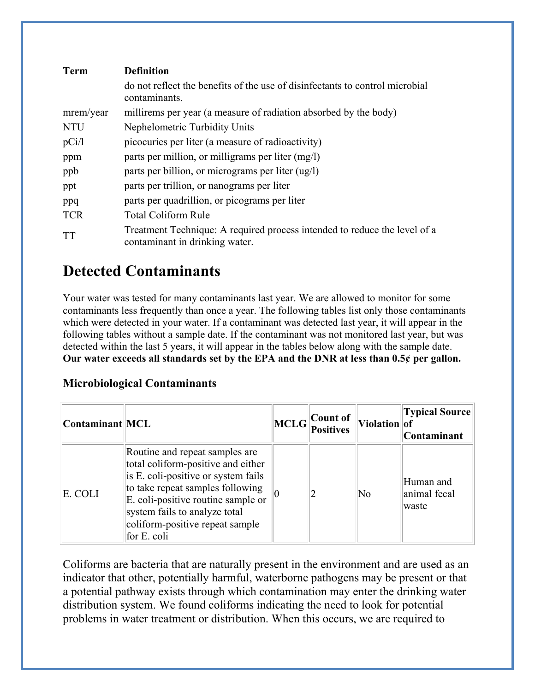| <b>Term</b> | <b>Definition</b>                                                                                           |
|-------------|-------------------------------------------------------------------------------------------------------------|
|             | do not reflect the benefits of the use of disinfectants to control microbial<br>contaminants.               |
| mrem/year   | millirems per year (a measure of radiation absorbed by the body)                                            |
| <b>NTU</b>  | Nephelometric Turbidity Units                                                                               |
| pCi/1       | picocuries per liter (a measure of radioactivity)                                                           |
| ppm         | parts per million, or milligrams per liter $(mg/l)$                                                         |
| ppb         | parts per billion, or micrograms per liter (ug/l)                                                           |
| ppt         | parts per trillion, or nanograms per liter                                                                  |
| ppq         | parts per quadrillion, or picograms per liter                                                               |
| <b>TCR</b>  | Total Coliform Rule                                                                                         |
| TT          | Treatment Technique: A required process intended to reduce the level of a<br>contaminant in drinking water. |

## **Detected Contaminants**

Your water was tested for many contaminants last year. We are allowed to monitor for some contaminants less frequently than once a year. The following tables list only those contaminants which were detected in your water. If a contaminant was detected last year, it will appear in the following tables without a sample date. If the contaminant was not monitored last year, but was detected within the last 5 years, it will appear in the tables below along with the sample date. **Our water exceeds all standards set by the EPA and the DNR at less than 0.5¢ per gallon.** 

#### **Microbiological Contaminants**

| Contaminant MCL |                                                                                                                                                                                                                                                                           | Count of<br>$\left\Vert MCLG\right\Vert _{Positives}$ | Violation of           | <b>Typical Source</b><br><b>Contaminant</b> |
|-----------------|---------------------------------------------------------------------------------------------------------------------------------------------------------------------------------------------------------------------------------------------------------------------------|-------------------------------------------------------|------------------------|---------------------------------------------|
| E. COLI         | Routine and repeat samples are.<br>total coliform-positive and either<br>is E. coli-positive or system fails<br>to take repeat samples following<br>E. coli-positive routine sample or<br>system fails to analyze total<br>coliform-positive repeat sample<br>for E. coli |                                                       | $\overline{\text{No}}$ | Human and<br>animal fecal<br>waste          |

Coliforms are bacteria that are naturally present in the environment and are used as an indicator that other, potentially harmful, waterborne pathogens may be present or that a potential pathway exists through which contamination may enter the drinking water distribution system. We found coliforms indicating the need to look for potential problems in water treatment or distribution. When this occurs, we are required to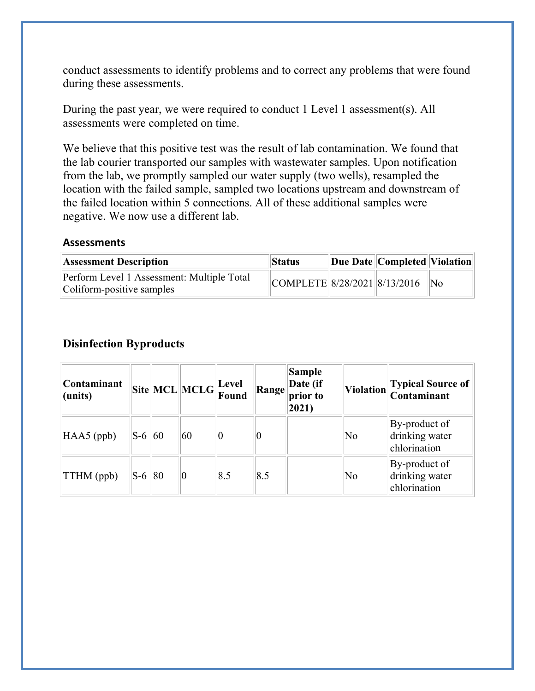conduct assessments to identify problems and to correct any problems that were found during these assessments.

During the past year, we were required to conduct 1 Level 1 assessment(s). All assessments were completed on time.

We believe that this positive test was the result of lab contamination. We found that the lab courier transported our samples with wastewater samples. Upon notification from the lab, we promptly sampled our water supply (two wells), resampled the location with the failed sample, sampled two locations upstream and downstream of the failed location within 5 connections. All of these additional samples were negative. We now use a different lab.

#### **Assessments**

| <b>Assessment Description</b>                                           | <b>Status</b>                       | Due Date   Completed   Violation |  |
|-------------------------------------------------------------------------|-------------------------------------|----------------------------------|--|
| Perform Level 1 Assessment: Multiple Total<br>Coliform-positive samples | $ COMPLETE 8/28/2021 8/13/2016 $ No |                                  |  |

#### **Disinfection Byproducts**

| <b>Contaminant</b><br>$l$ (units) |       |    | $\boxed{\text{Site}}\boxed{\text{MCL}}\boxed{\text{MCLG}}\boxed{\text{Level}}$ |             | Range | Sample<br>$\vert$ Date (if<br>prior to<br>2021) |                        | Violation Typical Source of                     |
|-----------------------------------|-------|----|--------------------------------------------------------------------------------|-------------|-------|-------------------------------------------------|------------------------|-------------------------------------------------|
| $HAAS$ (ppb)                      | $S-6$ | 60 | 60                                                                             |             |       |                                                 | $\overline{\text{No}}$ | By-product of<br>drinking water<br>chlorination |
| $\ TTHM$ (ppb)                    | $S-6$ | 80 | 0                                                                              | $\vert 8.5$ | 8.5   |                                                 | No                     | By-product of<br>drinking water<br>chlorination |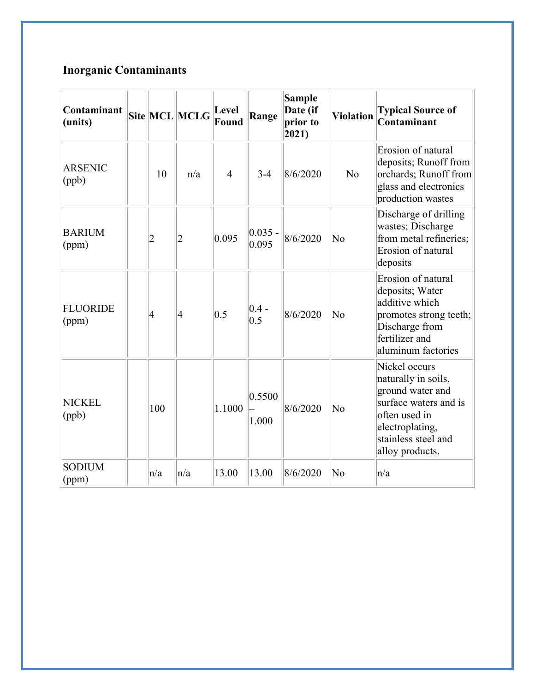## **Inorganic Contaminants**

| Contaminant<br>(units)   |                | Site MCL MCLG  | <b>Level</b><br><b>Found</b> | Range               | <b>Sample</b><br>Date (if<br>prior to<br>2021) | <b>Violation</b>       | <b>Typical Source of</b><br>Contaminant                                                                                                                         |
|--------------------------|----------------|----------------|------------------------------|---------------------|------------------------------------------------|------------------------|-----------------------------------------------------------------------------------------------------------------------------------------------------------------|
| <b>ARSENIC</b><br>$\phi$ | 10             | n/a            | $\overline{4}$               | $3-4$               | 8/6/2020                                       | N <sub>o</sub>         | Erosion of natural<br>deposits; Runoff from<br>orchards; Runoff from<br>glass and electronics<br>production wastes                                              |
| <b>BARIUM</b><br>(ppm)   | $\overline{2}$ | $\overline{2}$ | 0.095                        | $ 0.035 -$<br>0.095 | 8/6/2020                                       | $\overline{\text{No}}$ | Discharge of drilling<br>wastes; Discharge<br>from metal refineries;<br>Erosion of natural<br>deposits                                                          |
| <b>FLUORIDE</b><br>(ppm) | 4              | $\vert 4$      | 0.5                          | $0.4 -$<br>0.5      | 8/6/2020                                       | $\overline{\text{No}}$ | Erosion of natural<br>deposits; Water<br>additive which<br>promotes strong teeth;<br>Discharge from<br>fertilizer and<br>aluminum factories                     |
| <b>NICKEL</b><br>(ppb)   | 100            |                | 1.1000                       | 0.5500<br>1.000     | 8/6/2020                                       | $\overline{\text{No}}$ | Nickel occurs<br>naturally in soils,<br>ground water and<br>surface waters and is<br>often used in<br>electroplating,<br>stainless steel and<br>alloy products. |
| <b>SODIUM</b><br>(ppm)   | $\ln/a$        | n/a            | 13.00                        | 13.00               | 8/6/2020                                       | $\overline{\text{No}}$ | n/a                                                                                                                                                             |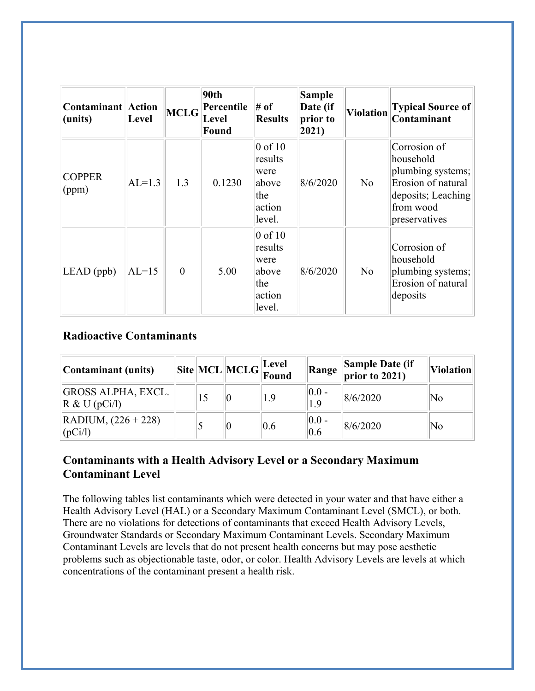| <b>Contaminant Action</b><br>(units) | Level    | <b>MCLG</b> | 90th<br>Percentile<br>Level<br>Found | $#$ of<br><b>Results</b>                                                   | Sample<br>Date (if<br>prior to<br>$ 2021\rangle$ | <b>Violation</b> | <b>Typical Source of</b><br>Contaminant                                                                                  |
|--------------------------------------|----------|-------------|--------------------------------------|----------------------------------------------------------------------------|--------------------------------------------------|------------------|--------------------------------------------------------------------------------------------------------------------------|
| <b>COPPER</b><br>(ppm)               | $AL=1.3$ | 1.3         | 0.1230                               | $ 0 \text{ of } 10$<br>results<br>were<br>above<br>the<br>action<br>level. | 8/6/2020                                         | No               | Corrosion of<br>household<br>plumbing systems;<br>Erosion of natural<br>deposits; Leaching<br>from wood<br>preservatives |
| $LEAD$ (ppb)                         | $AL=15$  | $\theta$    | 5.00                                 | $ 0 \text{ of } 10$<br>results<br>were<br>above<br>the<br>action<br>level. | 8/6/2020                                         | No               | Corrosion of<br>household<br>plumbing systems;<br>Erosion of natural<br>deposits                                         |

#### **Radioactive Contaminants**

| Contaminant (units)                                             |  | $\begin{array}{c c} \hline \textbf{Site} & \textbf{MCL} & \textbf{MCLG} & \textbf{Level} \\ \hline \textbf{Found} & \textbf{Found} & \end{array}$ |     |                  | <b>Range Sample Date (if</b> prior to 2021) | <b>Violation</b> |
|-----------------------------------------------------------------|--|---------------------------------------------------------------------------------------------------------------------------------------------------|-----|------------------|---------------------------------------------|------------------|
| <b>GROSS ALPHA, EXCL.</b><br>$\mathbb{R} \& \mathrm{U}$ (pCi/l) |  |                                                                                                                                                   | 1.9 | $ 0.0 -$<br>1.9  | 8/6/2020                                    | No               |
| $\vert$ RADIUM, $(226 + 228)$<br> (pCi/l)                       |  |                                                                                                                                                   | 0.6 | $ 0.0 -$<br> 0.6 | 8/6/2020                                    | No               |

#### **Contaminants with a Health Advisory Level or a Secondary Maximum Contaminant Level**

The following tables list contaminants which were detected in your water and that have either a Health Advisory Level (HAL) or a Secondary Maximum Contaminant Level (SMCL), or both. There are no violations for detections of contaminants that exceed Health Advisory Levels, Groundwater Standards or Secondary Maximum Contaminant Levels. Secondary Maximum Contaminant Levels are levels that do not present health concerns but may pose aesthetic problems such as objectionable taste, odor, or color. Health Advisory Levels are levels at which concentrations of the contaminant present a health risk.